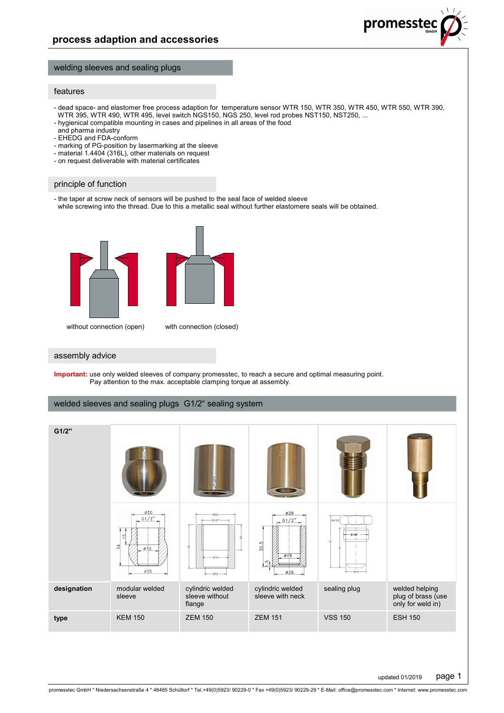#### welding sleeves and sealing plugs

#### features

- dead space- and elastomer free process adaption for temperature sensor WTR 150, WTR 350, WTR 450, WTR 550, WTR 390, WTR 395, WTR 490, WTR 495, level switch NGS150, NGS 250, level rod probes NST150, NST250, ...
- hygienical compatible mounting in cases and pipelines in all areas of the food
- and pharma industry - EHEDG and FDA-conform
- 
- marking of PG-position by lasermarking at the sleeve
- material 1.4404 (316L), other materials on request - on request deliverable with material certificates

#### principle of function

- the taper at screw neck of sensors will be pushed to the seal face of welded sleeve while screwing into the thread. Due to this a metallic seal without further elastomere seals will be obtained.



without connection (open) with connection (closed)

#### assembly advice

**Important:** use only welded sleeves of company promesstec, to reach a secure and optimal measuring point. Pay attention to the max. acceptable clamping torque at assembly.

# welded sleeves and sealing plugs G1/2" sealing system

| G1/2"       |                                                      |                                                        |                                               |                                 |                                                           |
|-------------|------------------------------------------------------|--------------------------------------------------------|-----------------------------------------------|---------------------------------|-----------------------------------------------------------|
|             | Ø30<br>$-$ G1/2"<br>S<br>34<br>Ø19<br>$\emptyset$ 35 | 030<br>$- G 1/2 -$<br>$\frac{3}{22}$<br>019<br>$-016-$ | Ø29<br>$-$ G1/2"<br>35.5<br>Ø1.9<br>r.<br>Ø26 | SW 22<br>G 1/2"<br>盈<br>$-018-$ |                                                           |
| designation | modular welded<br>sleeve                             | cylindric welded<br>sleeve without<br>flange           | cylindric welded<br>sleeve with neck          | sealing plug                    | welded helping<br>plug of brass (use<br>only for weld in) |
| type        | <b>KEM 150</b>                                       | <b>ZEM 150</b>                                         | <b>ZEM 151</b>                                | <b>VSS 150</b>                  | <b>ESH 150</b>                                            |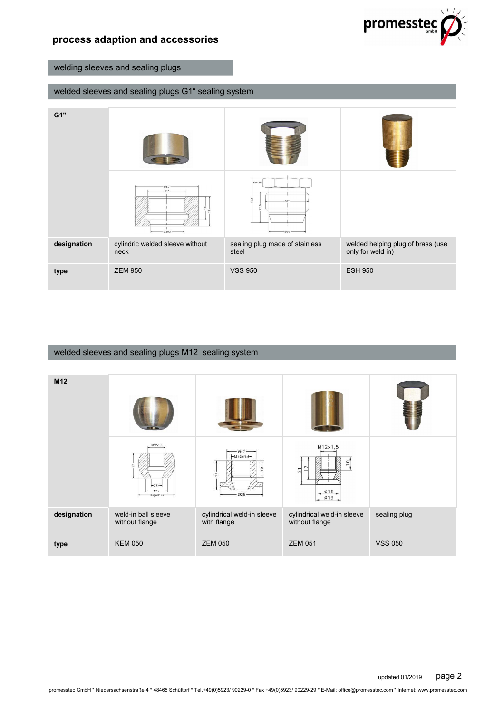

# welding sleeves and sealing plugs

# welded sleeves and sealing plugs G1" sealing system

| G1"         |                                                                                   |                                         |                                                        |  |
|-------------|-----------------------------------------------------------------------------------|-----------------------------------------|--------------------------------------------------------|--|
|             | 050<br>$G1 -$<br>$\overset{\text{\tiny{0}}}{\phantom{}_{\mathbf{-}}}$<br>$-025.7$ | SW 36<br>35,5<br>25.5<br>$030 -$        |                                                        |  |
| designation | cylindric welded sleeve without<br>neck                                           | sealing plug made of stainless<br>steel | welded helping plug of brass (use<br>only for weld in) |  |
| type        | <b>ZEM 950</b>                                                                    | <b>VSS 950</b>                          | <b>ESH 950</b>                                         |  |

# welded sleeves and sealing plugs M12 sealing system

| M12         |                                              |                                           |                                                                       |                |
|-------------|----------------------------------------------|-------------------------------------------|-----------------------------------------------------------------------|----------------|
|             | M12x1,5<br>$-07.4-$<br>$015 -$<br>Kugel Ø25- | $-017$<br>$-M12x1,5$<br>L,<br>025         | M12x1,5<br>$\circ$<br>$\overline{1}$<br>$\overline{21}$<br>Ø16<br>Ø19 |                |
| designation | weld-in ball sleeve<br>without flange        | cylindrical weld-in sleeve<br>with flange | cylindrical weld-in sleeve<br>without flange                          | sealing plug   |
| type        | <b>KEM 050</b>                               | <b>ZEM 050</b>                            | <b>ZEM 051</b>                                                        | <b>VSS 050</b> |